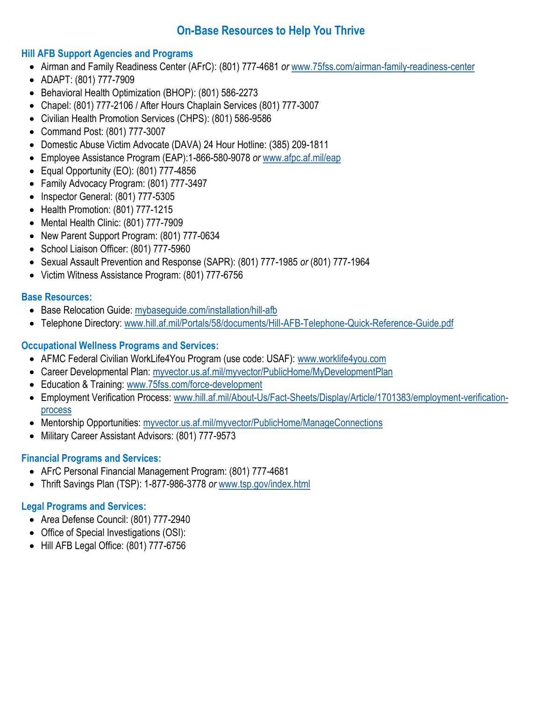# **On-Base Resources to Help You Thrive**

### **Hill AFB Support Agencies and Programs**

- Airman and Family Readiness Center (AFrC): (801) 777-4681 *or* [www.75fss.com/airman-family-readiness-center](/www.75fss.com/airman-family-readiness-center/)
- ADAPT: (801) 777-7909
- Behavioral Health Optimization (BHOP): (801) 586-2273
- Chapel: (801) 777-2106 / After Hours Chaplain Services (801) 777-3007
- Civilian Health Promotion Services (CHPS): (801) 586-9586
- Command Post: (801) 777-3007
- Domestic Abuse Victim Advocate (DAVA) 24 Hour Hotline: (385) 209-1811
- Employee Assistance Program (EAP):1-866-580-9078 *or* [www.afpc.af.mil/eap](http://www.afpc.af.mil/eap)
- Equal Opportunity (EO): (801) 777-4856
- Family Advocacy Program: (801) 777-3497
- $\bullet$  Inspector General: (801) 777-5305
- Health Promotion: (801) 777-1215
- Mental Health Clinic: (801) 777-7909
- New Parent Support Program: (801) 777-0634
- School Liaison Officer: (801) 777-5960
- Sexual Assault Prevention and Response (SAPR): (801) 777-1985 *or* (801) 777-1964
- Victim Witness Assistance Program: (801) 777-6756

### **Base Resources:**

- Base Relocation Guide: [mybaseguide.com/installation/hill-afb](https://mybaseguide.com/installation/hill-afb/)
- Telephone Directory: [www.hill.af.mil/Portals/58/documents/Hill-AFB-Telephone-Quick-Reference-Guide.pdf](http://www.hill.af.mil/Portals/58/documents/Hill-AFB-Telephone-Quick-Reference-Guide.pdf)

## **Occupational Wellness Programs and Services:**

- AFMC Federal Civilian WorkLife4You Program (use code: USAF): www.worklife4you.com
- Career Developmental Plan: myvector.us.af.mil/myvector/PublicHome/MyDevelopmentPlan
- Education & Training: [www.75fss.com/force-development](http://www.75fss.com/force-development)
- Employment Verification Process: [www.hill.af.mil/About-Us/Fact-Sheets/Display/Article/1701383/employment-verification](https://www.hill.af.mil/About-Us/Fact-Sheets/Display/Article/1701383/employment-verification-process/)[process](https://www.hill.af.mil/About-Us/Fact-Sheets/Display/Article/1701383/employment-verification-process/)
- Mentorship Opportunities: myvector.us.af.mil/myvector/PublicHome/ManageConnections
- Military Career Assistant Advisors: (801) 777-9573

## **Financial Programs and Services:**

- AFrC Personal Financial Management Program: (801) 777-4681
- Thrift Savings Plan (TSP): 1-877-986-3778 *or* www.tsp.gov/index.html

## **Legal Programs and Services:**

- Area Defense Council: (801) 777-2940
- Office of Special Investigations (OSI):
- Hill AFB Legal Office: (801) 777-6756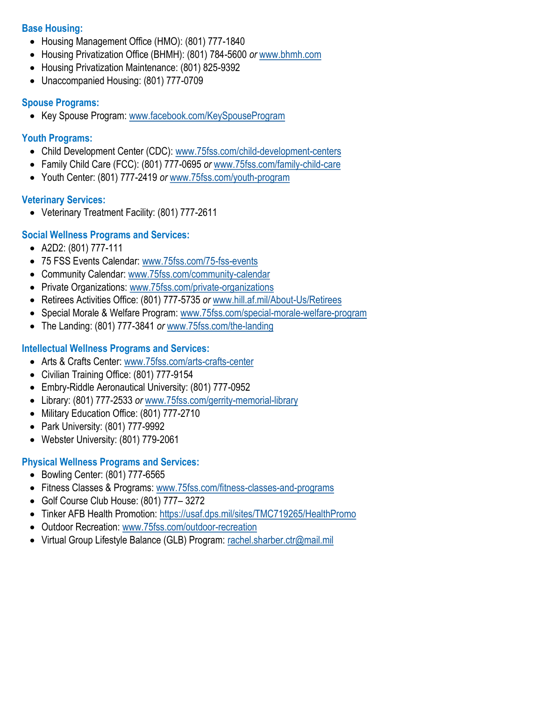### **Base Housing:**

- Housing Management Office (HMO): (801) 777-1840
- Housing Privatization Office (BHMH): (801) 784-5600 *or* [www.bhmh.com](http://www.bhmh.com/)
- Housing Privatization Maintenance: (801) 825-9392
- Unaccompanied Housing: (801) 777-0709

### **Spouse Programs:**

• Key Spouse Program: [www.facebook.com/KeySpouseProgram](https://www.facebook.com/KeySpouseProgram)

## **Youth Programs:**

- Child Development Center (CDC): [www.75fss.com/child-development-centers](http://www.75fss.com/child-development-centers)
- Family Child Care (FCC): (801) 777-0695 *or* [www.75fss.com/family-child-care](https://75fss.com/family-child-care/)
- Youth Center: (801) 777-2419 *or* [www.75fss.com/youth-program](https://75fss.com/youth-programs/)

## **Veterinary Services:**

Veterinary Treatment Facility: (801) 777-2611

## **Social Wellness Programs and Services:**

- A2D2: (801) 777-111
- 75 FSS Events Calendar: [www.75fss.com/75-fss-events](https://75fss.com/75-fss-events/)
- Community Calendar: [www.75fss.com/community-calendar](https://75fss.com/community-calendar/)
- Private Organizations: [www.75fss.com/private-organizations](https://75fss.com/private-organizations/)
- Retirees Activities Office: (801) 777-5735 *or* [www.hill.af.mil/About-Us/Retirees](https://www.hill.af.mil/About-Us/Retirees)
- Special Morale & Welfare Program: [www.75fss.com/special-morale-welfare-program](https://75fss.com/special-morale-welfare-program/)
- The Landing: (801) 777-3841 *or* [www.75fss.com/the-landing](https://75fss.com/the-landing/)

### **Intellectual Wellness Programs and Services:**

- Arts & Crafts Center: [www.75fss.com/arts-crafts-center](https://75fss.com/arts-crafts-center/)
- Civilian Training Office: (801) 777-9154
- Embry-Riddle Aeronautical University: (801) 777-0952
- Library: (801) 777-2533 *or* [www.75fss.com/gerrity-memorial-library](http://www.75fss.com/gerrity-memorial-library)
- Military Education Office: (801) 777-2710
- Park University: (801) 777-9992
- Webster University: (801) 779-2061

## **Physical Wellness Programs and Services:**

- Bowling Center: (801) 777-6565
- Fitness Classes & Programs: [www.75fss.com/fitness-classes-and-programs](https://75fss.com/fitness-classes-and-programs/)
- Golf Course Club House: (801) 777– 3272
- Tinker AFB Health Promotion:<https://usaf.dps.mil/sites/TMC719265/HealthPromo>
- Outdoor Recreation: [www.75fss.com/outdoor-recreation](https://75fss.com/outdoor-recreation/)
- Virtual Group Lifestyle Balance (GLB) Program: rachel.sharber.ctr@mail.mil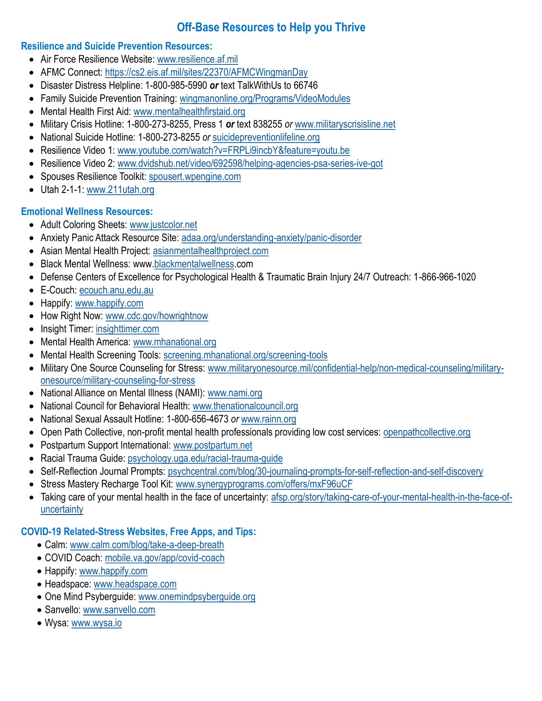# **Off-Base Resources to Help you Thrive**

### **Resilience and Suicide Prevention Resources:**

- Air Force Resilience Website: [www.resilience.af.mil](http://www.resilience.af.mil)
- AFMC Connect: <https://cs2.eis.af.mil/sites/22370/AFMCWingmanDay>
- Disaster Distress Helpline: 1-800-985-5990 *or* text TalkWithUs to 66746
- Family Suicide Prevention Training: wingmanonline.org/Programs/VideoModules
- Mental Health First Aid: [www.mentalhealthfirstaid.org](https://www.mentalhealthfirstaid.org)
- Military Crisis Hotline: 1-800-273-8255, Press 1 *or* text 838255 *or* www.militaryscrisisline.net
- National Suicide Hotline: 1-800-273-8255 *or* suicidepreventionlifeline.org
- Resilience Video 1: www.youtube.com/watch?v=FRPLi9incbY&feature=youtu.be
- Resilience Video 2: www.dvidshub.net/video/692598/helping-agencies-psa-series-ive-got
- Spouses Resilience Toolkit: [spousert.wpengine.com](http://spousert.wpengine.com)
- Utah 2-1-1: [www.211utah.org](http://www.211utah.org/)

## **Emotional Wellness Resources:**

- Adult Coloring Sheets: www.justcolor.net
- Anxiety Panic Attack Resource Site: adaa.org/understanding-anxiety/panic-disorder
- Asian Mental Health Project: [asianmentalhealthproject.com](https://asianmentalhealthproject.com/)
- Black Mental Wellness: www[.blackmentalwellness.c](https://www.blackmentalwellness.com/)om
- Defense Centers of Excellence for Psychological Health & Traumatic Brain Injury 24/7 Outreach: 1-866-966-1020
- E-Couch: ecouch.anu.edu.au
- Happify: www.happify.com
- How Right Now: [www.cdc.gov/howrightnow](https://www.cdc.gov/howrightnow)
- Insight Timer: insighttimer.com
- Mental Health America: www.mhanational.org
- Mental Health Screening Tools: screening.mhanational.org/screening-tools
- Military One Source Counseling for Stress: [www.militaryonesource.mil/confidential-help/non-medical-counseling/military](https://www.militaryonesource.mil/confidential-help/non-medical-counseling/military-onesource/military-counseling-for-stress/)[onesource/military-counseling-for-stress](https://www.militaryonesource.mil/confidential-help/non-medical-counseling/military-onesource/military-counseling-for-stress/)
- National Alliance on Mental Illness (NAMI): www.nami.org
- National Council for Behavioral Health: www.thenationalcouncil.org
- National Sexual Assault Hotline: 1-800-656-4673 *or* www.rainn.org
- Open Path Collective, non-profit mental health professionals providing low cost services: openpathcollective.org
- Postpartum Support International: www.postpartum.net
- Racial Trauma Guide: [psychology.uga.edu/racial-trauma-guide](https://psychology.uga.edu/racial-trauma-guide)
- Self-Reflection Journal Prompts: psychcentral.com/blog/30-journaling-prompts-for-self-reflection-and-self-discovery
- Stress Mastery Recharge Tool Kit: www.synergyprograms.com/offers/mxF96uCF
- Taking care of your mental health in the face of uncertainty: afsp.org/story/taking-care-of-your-mental-health-in-the-face-ofuncertainty

## **COVID-19 Related-Stress Websites, Free Apps, and Tips:**

- Calm: [www.calm.com/blog/take-a-deep-breath](https://www.calm.com/blog/take-a-deep-breath)
- COVID Coach: [mobile.va.gov/app/covid-coach](https://mobile.va.gov/app/covid-coach)
- Happify: [www.happify.com](https://www.happify.com/)
- Headspace: [www.headspace.com](https://www.headspace.com/)
- One Mind Psyberguide: [www.onemindpsyberguide.org](https://onemindpsyberguide.org/)
- Sanvello: [www.sanvello.com](https://www.sanvello.com)
- Wysa: [www.wysa.io](https://www.wysa.io/)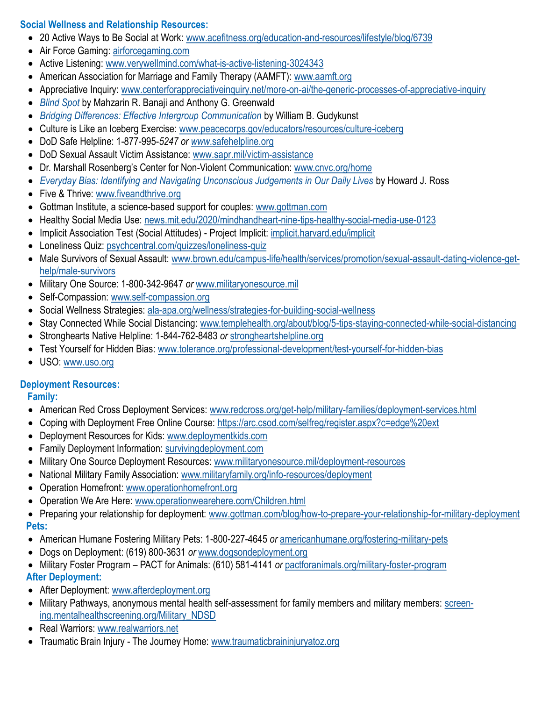## **Social Wellness and Relationship Resources:**

- 20 Active Ways to Be Social at Work: www.acefitness.org/education-and-resources/lifestyle/blog/6739
- Air Force Gaming: airforcegaming.com
- Active Listening: www.verywellmind.com/what-is-active-listening-3024343
- American Association for Marriage and Family Therapy (AAMFT): www.aamft.org
- Appreciative Inquiry: www.centerforappreciativeinquiry.net/more-on-ai/the-generic-processes-of-appreciative-inquiry
- *Blind Spot* by Mahzarin R. Banaji and Anthony G. Greenwald
- *Bridging Differences: Effective Intergroup Communication* by William B. Gudykunst
- Culture is Like an Iceberg Exercise: www.peacecorps.gov/educators/resources/culture-iceberg
- DoD Safe Helpline: 1-877-995-*5247 or www*.safehelpline.org
- DoD Sexual Assault Victim Assistance: www.sapr.mil/victim-assistance
- Dr. Marshall Rosenberg's Center for Non-Violent Communication: www.cnvc.org/home
- *Everyday Bias: Identifying and Navigating Unconscious Judgements in Our Daily Lives by Howard J. Ross*
- Five & Thrive: [www.fiveandthrive.org](https://www.fiveandthrive.org/)
- Gottman Institute, a science-based support for couples: www.gottman.com
- Healthy Social Media Use: news.mit.edu/2020/mindhandheart-nine-tips-healthy-social-media-use-0123
- Implicit Association Test (Social Attitudes) Project Implicit: *implicit.harvard.edu/implicit*
- Loneliness Quiz: psychcentral.com/quizzes/loneliness-quiz
- Male Survivors of Sexual Assault: [www.brown.edu/campus-life/health/services/promotion/sexual-assault-dating-violence-get](https://www.brown.edu/campus-life/health/services/promotion/sexual-assault-dating-violence-get-help/male-survivors)[help/male-survivors](https://www.brown.edu/campus-life/health/services/promotion/sexual-assault-dating-violence-get-help/male-survivors)
- Military One Source: 1-800-342-9647 *or* www.militaryonesource.mil
- Self-Compassion: www.self-compassion.org
- Social Wellness Strategies: ala-apa.org/wellness/strategies-for-building-social-wellness
- Stay Connected While Social Distancing: www.templehealth.org/about/blog/5-tips-staying-connected-while-social-distancing
- Stronghearts Native Helpline: 1-844-762-8483 *or* [strongheartshelpline.org](https://strongheartshelpline.org)
- Test Yourself for Hidden Bias: www.tolerance.org/professional-development/test-yourself-for-hidden-bias
- USO: [www.uso.org](http://www.uso.org/)

## **Deployment Resources:**

## **Family:**

- American Red Cross Deployment Services: www.redcross.org/get-help/military-families/deployment-services.html
- Coping with Deployment Free Online Course: <https://arc.csod.com/selfreg/register.aspx?c=edge%20ext>
- Deployment Resources for Kids: www.deploymentkids.com
- Family Deployment Information: survivingdeployment.com
- Military One Source Deployment Resources: www.militaryonesource.mil/deployment-resources
- National Military Family Association: www.militaryfamily.org/info-resources/deployment
- Operation Homefront: www.operationhomefront.org
- Operation We Are Here: www.operationwearehere.com/Children.html
- Preparing your relationship for deployment: [www.gottman.com/blog/how-to-prepare-your-relationship-for-military-deployment](https://www.gottman.com/blog/how-to-prepare-your-relationship-for-military-deployment/)  **Pets:**
- American Humane Fostering Military Pets: 1-800-227-4645 *or* americanhumane.org/fostering-military-pets
- Dogs on Deployment: (619) 800-3631 *or* www.dogsondeployment.org
- Military Foster Program PACT for Animals: (610) 581-4141 *or* pactforanimals.org/military-foster-program **After Deployment:**
- After Deployment: www.afterdeployment.org
- Military Pathways, anonymous mental health self-assessment for family members and military members: screening.mentalhealthscreening.org/Military\_NDSD
- Real Warriors: www.realwarriors.net
- Traumatic Brain Injury The Journey Home: www.traumaticbraininjuryatoz.org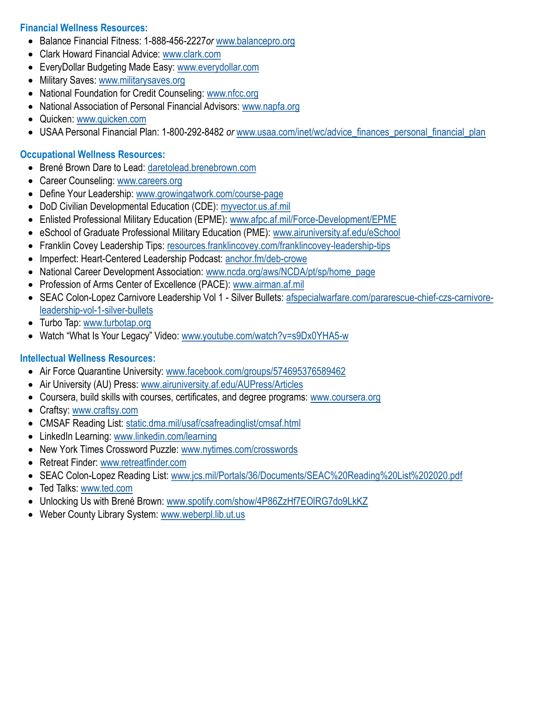### **Financial Wellness Resources:**

- Balance Financial Fitness: 1-888-456-2227*or* www.balancepro.org
- Clark Howard Financial Advice: www.clark.com
- EveryDollar Budgeting Made Easy: www.everydollar.com
- Military Saves: www.militarysaves.org
- National Foundation for Credit Counseling: www.nfcc.org
- National Association of Personal Financial Advisors: www.napfa.org
- Quicken: www.quicken.com
- USAA Personal Financial Plan: 1-800-292-8482 *or* www.usaa.com/inet/wc/advice\_finances\_personal\_financial\_plan

### **Occupational Wellness Resources:**

- Brené Brown Dare to Lead: daretolead.brenebrown.com
- Career Counseling: www.careers.org
- Define Your Leadership: www.growingatwork.com/course-page
- DoD Civilian Developmental Education (CDE): myvector.us.af.mil
- Enlisted Professional Military Education (EPME): www.afpc.af.mil/Force-Development/EPME
- eSchool of Graduate Professional Military Education (PME): www.airuniversity.af.edu/eSchool
- Franklin Covey Leadership Tips: resources.franklincovey.com/franklincovey-leadership-tips
- Imperfect: Heart-Centered Leadership Podcast: anchor.fm/deb-crowe
- National Career Development Association: www.ncda.org/aws/NCDA/pt/sp/home\_page
- Profession of Arms Center of Excellence (PACE): www.airman.af.mil
- SEAC Colon-Lopez Carnivore Leadership Vol 1 Silver Bullets: [afspecialwarfare.com/pararescue-chief-czs-carnivore](https://afspecialwarfare.com/pararescue-chief-czs-carnivore-leadership-vol-1-silver-bullets)[leadership-vol-1-silver-bullets](https://afspecialwarfare.com/pararescue-chief-czs-carnivore-leadership-vol-1-silver-bullets)
- Turbo Tap: www.turbotap.org
- Watch "What Is Your Legacy" Video: www.youtube.com/watch?v=s9Dx0YHA5-w

### **Intellectual Wellness Resources:**

- Air Force Quarantine University: [www.facebook.com/groups/574695376589462](https://www.facebook.com/groups/574695376589462)
- Air University (AU) Press: [www.airuniversity.af.edu/AUPress/Articles](https://www.airuniversity.af.edu/AUPress/Articles)
- Coursera, build skills with courses, certificates, and degree programs: www.coursera.org
- Craftsy: www.craftsy.com
- CMSAF Reading List: static.dma.mil/usaf/csafreadinglist/cmsaf.html
- LinkedIn Learning: www.linkedin.com/learning
- New York Times Crossword Puzzle: www.nytimes.com/crosswords
- Retreat Finder: www.retreatfinder.com
- SEAC Colon-Lopez Reading List: www.jcs.mil/Portals/36/Documents/SEAC%20Reading%20List%202020.pdf
- Ted Talks: www.ted.com
- Unlocking Us with Brené Brown: www.spotify.com/show/4P86ZzHf7EOIRG7do9LkKZ
- Weber County Library System: [www.weberpl.lib.ut.us](https://www.weberpl.lib.ut.us/)